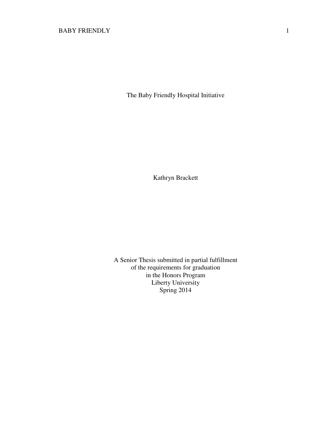The Baby Friendly Hospital Initiative

Kathryn Brackett

A Senior Thesis submitted in partial fulfillment of the requirements for graduation in the Honors Program Liberty University Spring 2014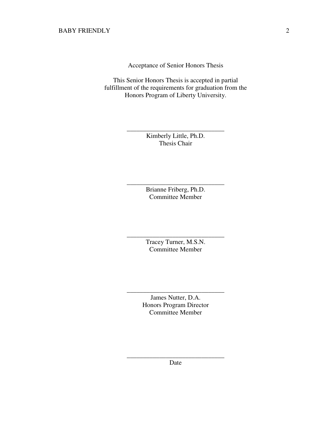Acceptance of Senior Honors Thesis

This Senior Honors Thesis is accepted in partial fulfillment of the requirements for graduation from the Honors Program of Liberty University.

> Kimberly Little, Ph.D. Thesis Chair

\_\_\_\_\_\_\_\_\_\_\_\_\_\_\_\_\_\_\_\_\_\_\_\_\_\_\_\_\_\_

Brianne Friberg, Ph.D. Committee Member

\_\_\_\_\_\_\_\_\_\_\_\_\_\_\_\_\_\_\_\_\_\_\_\_\_\_\_\_\_\_

Tracey Turner, M.S.N. Committee Member

\_\_\_\_\_\_\_\_\_\_\_\_\_\_\_\_\_\_\_\_\_\_\_\_\_\_\_\_\_\_

James Nutter, D.A. Honors Program Director Committee Member

\_\_\_\_\_\_\_\_\_\_\_\_\_\_\_\_\_\_\_\_\_\_\_\_\_\_\_\_\_\_

\_\_\_\_\_\_\_\_\_\_\_\_\_\_\_\_\_\_\_\_\_\_\_\_\_\_\_\_\_\_ Date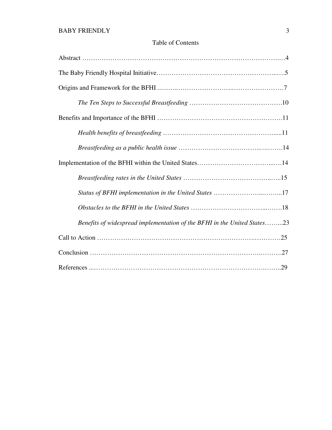# Table of Contents

| Benefits of widespread implementation of the BFHI in the United States23 |
|--------------------------------------------------------------------------|
|                                                                          |
|                                                                          |
|                                                                          |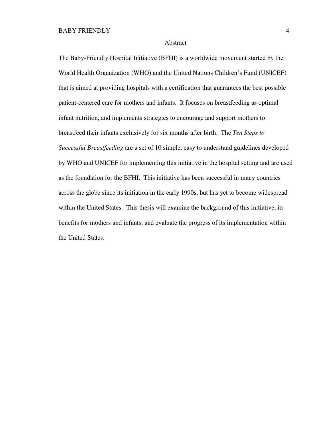#### Abstract

The Baby-Friendly Hospital Initiative (BFHI) is a worldwide movement started by the World Health Organization (WHO) and the United Nations Children's Fund (UNICEF) that is aimed at providing hospitals with a certification that guarantees the best possible patient-centered care for mothers and infants. It focuses on breastfeeding as optimal infant nutrition, and implements strategies to encourage and support mothers to breastfeed their infants exclusively for six months after birth. The *Ten Steps to Successful Breastfeeding* are a set of 10 simple, easy to understand guidelines developed by WHO and UNICEF for implementing this initiative in the hospital setting and are used as the foundation for the BFHI. This initiative has been successful in many countries across the globe since its initiation in the early 1990s, but has yet to become widespread within the United States. This thesis will examine the background of this initiative, its benefits for mothers and infants, and evaluate the progress of its implementation within the United States.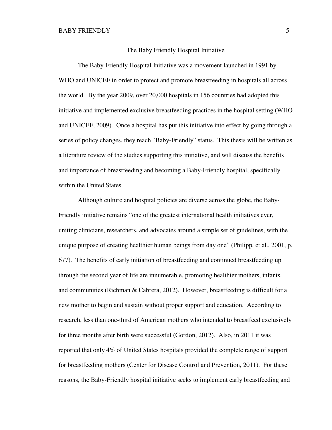#### The Baby Friendly Hospital Initiative

The Baby-Friendly Hospital Initiative was a movement launched in 1991 by WHO and UNICEF in order to protect and promote breastfeeding in hospitals all across the world. By the year 2009, over 20,000 hospitals in 156 countries had adopted this initiative and implemented exclusive breastfeeding practices in the hospital setting (WHO and UNICEF, 2009). Once a hospital has put this initiative into effect by going through a series of policy changes, they reach "Baby-Friendly" status. This thesis will be written as a literature review of the studies supporting this initiative, and will discuss the benefits and importance of breastfeeding and becoming a Baby-Friendly hospital, specifically within the United States.

Although culture and hospital policies are diverse across the globe, the Baby-Friendly initiative remains "one of the greatest international health initiatives ever, uniting clinicians, researchers, and advocates around a simple set of guidelines, with the unique purpose of creating healthier human beings from day one" (Philipp, et al., 2001, p. 677). The benefits of early initiation of breastfeeding and continued breastfeeding up through the second year of life are innumerable, promoting healthier mothers, infants, and communities (Richman & Cabrera, 2012). However, breastfeeding is difficult for a new mother to begin and sustain without proper support and education. According to research, less than one-third of American mothers who intended to breastfeed exclusively for three months after birth were successful (Gordon, 2012). Also, in 2011 it was reported that only 4% of United States hospitals provided the complete range of support for breastfeeding mothers (Center for Disease Control and Prevention, 2011). For these reasons, the Baby-Friendly hospital initiative seeks to implement early breastfeeding and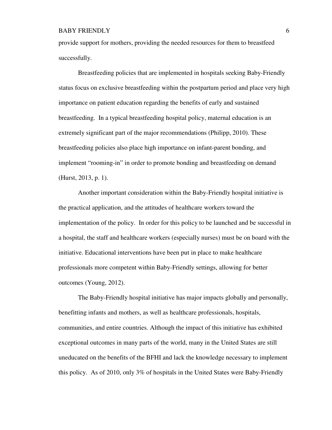provide support for mothers, providing the needed resources for them to breastfeed successfully.

Breastfeeding policies that are implemented in hospitals seeking Baby-Friendly status focus on exclusive breastfeeding within the postpartum period and place very high importance on patient education regarding the benefits of early and sustained breastfeeding. In a typical breastfeeding hospital policy, maternal education is an extremely significant part of the major recommendations (Philipp, 2010). These breastfeeding policies also place high importance on infant-parent bonding, and implement "rooming-in" in order to promote bonding and breastfeeding on demand (Hurst, 2013, p. 1).

Another important consideration within the Baby-Friendly hospital initiative is the practical application, and the attitudes of healthcare workers toward the implementation of the policy. In order for this policy to be launched and be successful in a hospital, the staff and healthcare workers (especially nurses) must be on board with the initiative. Educational interventions have been put in place to make healthcare professionals more competent within Baby-Friendly settings, allowing for better outcomes (Young, 2012).

The Baby-Friendly hospital initiative has major impacts globally and personally, benefitting infants and mothers, as well as healthcare professionals, hospitals, communities, and entire countries. Although the impact of this initiative has exhibited exceptional outcomes in many parts of the world, many in the United States are still uneducated on the benefits of the BFHI and lack the knowledge necessary to implement this policy. As of 2010, only 3% of hospitals in the United States were Baby-Friendly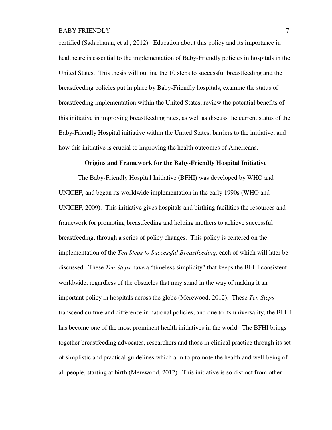certified (Sadacharan, et al., 2012). Education about this policy and its importance in healthcare is essential to the implementation of Baby-Friendly policies in hospitals in the United States. This thesis will outline the 10 steps to successful breastfeeding and the breastfeeding policies put in place by Baby-Friendly hospitals, examine the status of breastfeeding implementation within the United States, review the potential benefits of this initiative in improving breastfeeding rates, as well as discuss the current status of the Baby-Friendly Hospital initiative within the United States, barriers to the initiative, and how this initiative is crucial to improving the health outcomes of Americans.

#### **Origins and Framework for the Baby-Friendly Hospital Initiative**

The Baby-Friendly Hospital Initiative (BFHI) was developed by WHO and UNICEF, and began its worldwide implementation in the early 1990s (WHO and UNICEF, 2009). This initiative gives hospitals and birthing facilities the resources and framework for promoting breastfeeding and helping mothers to achieve successful breastfeeding, through a series of policy changes. This policy is centered on the implementation of the *Ten Steps to Successful Breastfeeding*, each of which will later be discussed. These *Ten Steps* have a "timeless simplicity" that keeps the BFHI consistent worldwide, regardless of the obstacles that may stand in the way of making it an important policy in hospitals across the globe (Merewood, 2012). These *Ten Steps*  transcend culture and difference in national policies, and due to its universality, the BFHI has become one of the most prominent health initiatives in the world. The BFHI brings together breastfeeding advocates, researchers and those in clinical practice through its set of simplistic and practical guidelines which aim to promote the health and well-being of all people, starting at birth (Merewood, 2012). This initiative is so distinct from other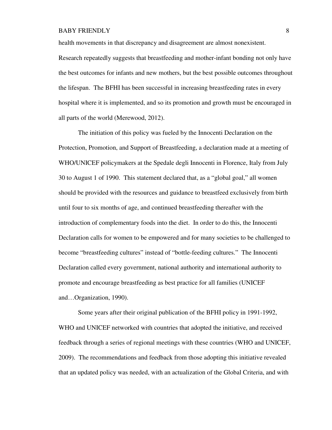health movements in that discrepancy and disagreement are almost nonexistent.

Research repeatedly suggests that breastfeeding and mother-infant bonding not only have the best outcomes for infants and new mothers, but the best possible outcomes throughout the lifespan. The BFHI has been successful in increasing breastfeeding rates in every hospital where it is implemented, and so its promotion and growth must be encouraged in all parts of the world (Merewood, 2012).

The initiation of this policy was fueled by the Innocenti Declaration on the Protection, Promotion, and Support of Breastfeeding, a declaration made at a meeting of WHO/UNICEF policymakers at the Spedale degli Innocenti in Florence, Italy from July 30 to August 1 of 1990. This statement declared that, as a "global goal," all women should be provided with the resources and guidance to breastfeed exclusively from birth until four to six months of age, and continued breastfeeding thereafter with the introduction of complementary foods into the diet. In order to do this, the Innocenti Declaration calls for women to be empowered and for many societies to be challenged to become "breastfeeding cultures" instead of "bottle-feeding cultures." The Innocenti Declaration called every government, national authority and international authority to promote and encourage breastfeeding as best practice for all families (UNICEF and…Organization, 1990).

Some years after their original publication of the BFHI policy in 1991-1992, WHO and UNICEF networked with countries that adopted the initiative, and received feedback through a series of regional meetings with these countries (WHO and UNICEF, 2009). The recommendations and feedback from those adopting this initiative revealed that an updated policy was needed, with an actualization of the Global Criteria, and with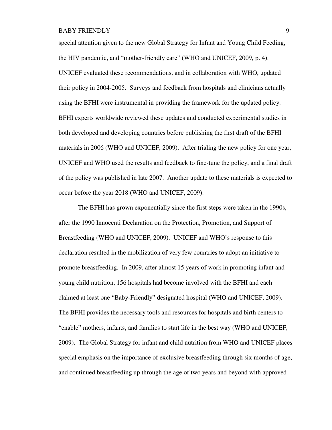special attention given to the new Global Strategy for Infant and Young Child Feeding, the HIV pandemic, and "mother-friendly care" (WHO and UNICEF, 2009, p. 4). UNICEF evaluated these recommendations, and in collaboration with WHO, updated their policy in 2004-2005. Surveys and feedback from hospitals and clinicians actually using the BFHI were instrumental in providing the framework for the updated policy. BFHI experts worldwide reviewed these updates and conducted experimental studies in both developed and developing countries before publishing the first draft of the BFHI materials in 2006 (WHO and UNICEF, 2009). After trialing the new policy for one year, UNICEF and WHO used the results and feedback to fine-tune the policy, and a final draft of the policy was published in late 2007. Another update to these materials is expected to occur before the year 2018 (WHO and UNICEF, 2009).

The BFHI has grown exponentially since the first steps were taken in the 1990s, after the 1990 Innocenti Declaration on the Protection, Promotion, and Support of Breastfeeding (WHO and UNICEF, 2009). UNICEF and WHO's response to this declaration resulted in the mobilization of very few countries to adopt an initiative to promote breastfeeding. In 2009, after almost 15 years of work in promoting infant and young child nutrition, 156 hospitals had become involved with the BFHI and each claimed at least one "Baby-Friendly" designated hospital (WHO and UNICEF, 2009). The BFHI provides the necessary tools and resources for hospitals and birth centers to "enable" mothers, infants, and families to start life in the best way (WHO and UNICEF, 2009). The Global Strategy for infant and child nutrition from WHO and UNICEF places special emphasis on the importance of exclusive breastfeeding through six months of age, and continued breastfeeding up through the age of two years and beyond with approved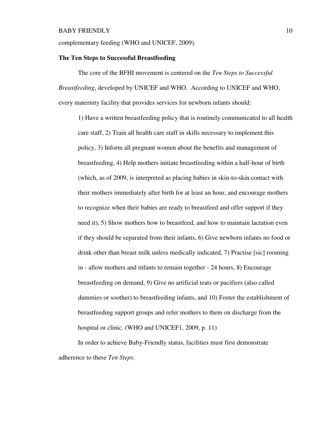complementary feeding (WHO and UNICEF, 2009).

### **The Ten Steps to Successful Breastfeeding**

The core of the BFHI movement is centered on the *Ten Steps to Successful Breastfeeding*, developed by UNICEF and WHO. According to UNICEF and WHO, every maternity facility that provides services for newborn infants should:

1) Have a written breastfeeding policy that is routinely communicated to all health care staff, 2) Train all health care staff in skills necessary to implement this policy, 3) Inform all pregnant women about the benefits and management of breastfeeding, 4) Help mothers initiate breastfeeding within a half-hour of birth (which, as of 2009, is interpreted as placing babies in skin-to-skin contact with their mothers immediately after birth for at least an hour, and encourage mothers to recognize when their babies are ready to breastfeed and offer support if they need it), 5) Show mothers how to breastfeed, and how to maintain lactation even if they should be separated from their infants, 6) Give newborn infants no food or drink other than breast milk unless medically indicated, 7) Practise [sic] rooming in - allow mothers and infants to remain together - 24 hours, 8) Encourage breastfeeding on demand, 9) Give no artificial teats or pacifiers (also called dummies or soother) to breastfeeding infants, and 10) Foster the establishment of breastfeeding support groups and refer mothers to them on discharge from the hospital or clinic. (WHO and UNICEF1, 2009, p. 11)

In order to achieve Baby-Friendly status, facilities must first demonstrate adherence to these *Ten Steps*.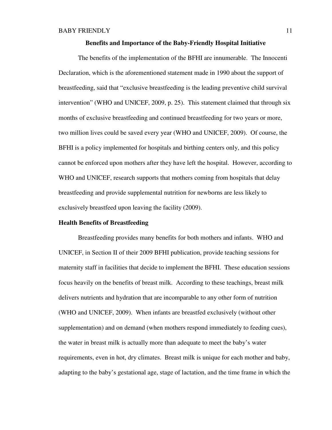#### **Benefits and Importance of the Baby-Friendly Hospital Initiative**

The benefits of the implementation of the BFHI are innumerable. The Innocenti Declaration, which is the aforementioned statement made in 1990 about the support of breastfeeding, said that "exclusive breastfeeding is the leading preventive child survival intervention" (WHO and UNICEF, 2009, p. 25). This statement claimed that through six months of exclusive breastfeeding and continued breastfeeding for two years or more, two million lives could be saved every year (WHO and UNICEF, 2009). Of course, the BFHI is a policy implemented for hospitals and birthing centers only, and this policy cannot be enforced upon mothers after they have left the hospital. However, according to WHO and UNICEF, research supports that mothers coming from hospitals that delay breastfeeding and provide supplemental nutrition for newborns are less likely to exclusively breastfeed upon leaving the facility (2009).

### **Health Benefits of Breastfeeding**

Breastfeeding provides many benefits for both mothers and infants. WHO and UNICEF, in Section II of their 2009 BFHI publication, provide teaching sessions for maternity staff in facilities that decide to implement the BFHI. These education sessions focus heavily on the benefits of breast milk. According to these teachings, breast milk delivers nutrients and hydration that are incomparable to any other form of nutrition (WHO and UNICEF, 2009). When infants are breastfed exclusively (without other supplementation) and on demand (when mothers respond immediately to feeding cues), the water in breast milk is actually more than adequate to meet the baby's water requirements, even in hot, dry climates. Breast milk is unique for each mother and baby, adapting to the baby's gestational age, stage of lactation, and the time frame in which the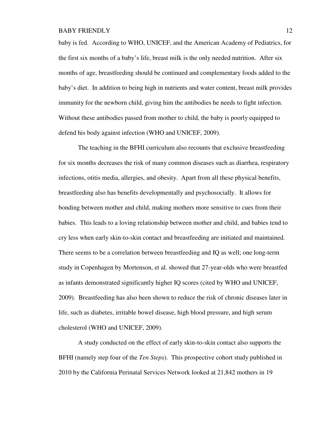baby is fed. According to WHO, UNICEF, and the American Academy of Pediatrics, for the first six months of a baby's life, breast milk is the only needed nutrition. After six months of age, breastfeeding should be continued and complementary foods added to the baby's diet. In addition to being high in nutrients and water content, breast milk provides immunity for the newborn child, giving him the antibodies he needs to fight infection. Without these antibodies passed from mother to child, the baby is poorly equipped to defend his body against infection (WHO and UNICEF, 2009).

The teaching in the BFHI curriculum also recounts that exclusive breastfeeding for six months decreases the risk of many common diseases such as diarrhea, respiratory infections, otitis media, allergies, and obesity. Apart from all these physical benefits, breastfeeding also has benefits developmentally and psychosocially. It allows for bonding between mother and child, making mothers more sensitive to cues from their babies. This leads to a loving relationship between mother and child, and babies tend to cry less when early skin-to-skin contact and breastfeeding are initiated and maintained. There seems to be a correlation between breastfeeding and IQ as well; one long-term study in Copenhagen by Mortenson, et al. showed that 27-year-olds who were breastfed as infants demonstrated significantly higher IQ scores (cited by WHO and UNICEF, 2009). Breastfeeding has also been shown to reduce the risk of chronic diseases later in life, such as diabetes, irritable bowel disease, high blood pressure, and high serum cholesterol (WHO and UNICEF, 2009).

A study conducted on the effect of early skin-to-skin contact also supports the BFHI (namely step four of the *Ten Steps*). This prospective cohort study published in 2010 by the California Perinatal Services Network looked at 21,842 mothers in 19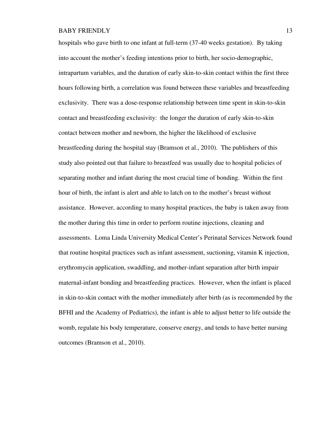hospitals who gave birth to one infant at full-term (37-40 weeks gestation). By taking into account the mother's feeding intentions prior to birth, her socio-demographic, intrapartum variables, and the duration of early skin-to-skin contact within the first three hours following birth, a correlation was found between these variables and breastfeeding exclusivity. There was a dose-response relationship between time spent in skin-to-skin contact and breastfeeding exclusivity: the longer the duration of early skin-to-skin contact between mother and newborn, the higher the likelihood of exclusive breastfeeding during the hospital stay (Bramson et al., 2010). The publishers of this study also pointed out that failure to breastfeed was usually due to hospital policies of separating mother and infant during the most crucial time of bonding. Within the first hour of birth, the infant is alert and able to latch on to the mother's breast without assistance. However, according to many hospital practices, the baby is taken away from the mother during this time in order to perform routine injections, cleaning and assessments. Loma Linda University Medical Center's Perinatal Services Network found that routine hospital practices such as infant assessment, suctioning, vitamin K injection, erythromycin application, swaddling, and mother-infant separation after birth impair maternal-infant bonding and breastfeeding practices. However, when the infant is placed in skin-to-skin contact with the mother immediately after birth (as is recommended by the BFHI and the Academy of Pediatrics), the infant is able to adjust better to life outside the womb, regulate his body temperature, conserve energy, and tends to have better nursing outcomes (Bramson et al., 2010).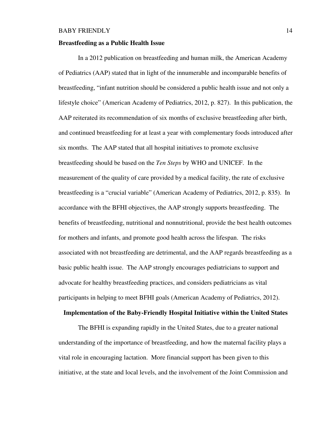### **Breastfeeding as a Public Health Issue**

In a 2012 publication on breastfeeding and human milk, the American Academy of Pediatrics (AAP) stated that in light of the innumerable and incomparable benefits of breastfeeding, "infant nutrition should be considered a public health issue and not only a lifestyle choice" (American Academy of Pediatrics, 2012, p. 827). In this publication, the AAP reiterated its recommendation of six months of exclusive breastfeeding after birth, and continued breastfeeding for at least a year with complementary foods introduced after six months. The AAP stated that all hospital initiatives to promote exclusive breastfeeding should be based on the *Ten Steps* by WHO and UNICEF. In the measurement of the quality of care provided by a medical facility, the rate of exclusive breastfeeding is a "crucial variable" (American Academy of Pediatrics, 2012, p. 835). In accordance with the BFHI objectives, the AAP strongly supports breastfeeding. The benefits of breastfeeding, nutritional and nonnutritional, provide the best health outcomes for mothers and infants, and promote good health across the lifespan. The risks associated with not breastfeeding are detrimental, and the AAP regards breastfeeding as a basic public health issue. The AAP strongly encourages pediatricians to support and advocate for healthy breastfeeding practices, and considers pediatricians as vital participants in helping to meet BFHI goals (American Academy of Pediatrics, 2012).

#### **Implementation of the Baby-Friendly Hospital Initiative within the United States**

The BFHI is expanding rapidly in the United States, due to a greater national understanding of the importance of breastfeeding, and how the maternal facility plays a vital role in encouraging lactation. More financial support has been given to this initiative, at the state and local levels, and the involvement of the Joint Commission and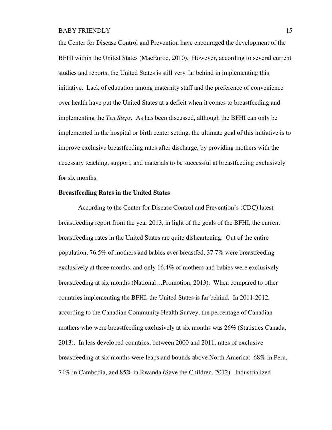the Center for Disease Control and Prevention have encouraged the development of the BFHI within the United States (MacEnroe, 2010). However, according to several current studies and reports, the United States is still very far behind in implementing this initiative. Lack of education among maternity staff and the preference of convenience over health have put the United States at a deficit when it comes to breastfeeding and implementing the *Ten Steps*. As has been discussed, although the BFHI can only be implemented in the hospital or birth center setting, the ultimate goal of this initiative is to improve exclusive breastfeeding rates after discharge, by providing mothers with the necessary teaching, support, and materials to be successful at breastfeeding exclusively for six months.

#### **Breastfeeding Rates in the United States**

According to the Center for Disease Control and Prevention's (CDC) latest breastfeeding report from the year 2013, in light of the goals of the BFHI, the current breastfeeding rates in the United States are quite disheartening. Out of the entire population, 76.5% of mothers and babies ever breastfed, 37.7% were breastfeeding exclusively at three months, and only 16.4% of mothers and babies were exclusively breastfeeding at six months (National…Promotion, 2013). When compared to other countries implementing the BFHI, the United States is far behind. In 2011-2012, according to the Canadian Community Health Survey, the percentage of Canadian mothers who were breastfeeding exclusively at six months was 26% (Statistics Canada, 2013). In less developed countries, between 2000 and 2011, rates of exclusive breastfeeding at six months were leaps and bounds above North America: 68% in Peru, 74% in Cambodia, and 85% in Rwanda (Save the Children, 2012). Industrialized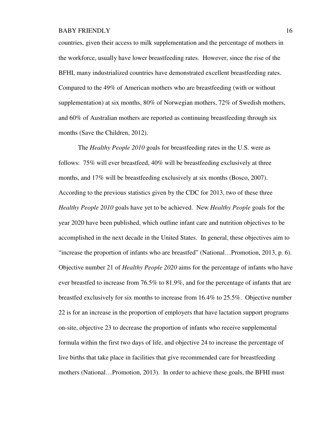countries, given their access to milk supplementation and the percentage of mothers in the workforce, usually have lower breastfeeding rates. However, since the rise of the BFHI, many industrialized countries have demonstrated excellent breastfeeding rates. Compared to the 49% of American mothers who are breastfeeding (with or without supplementation) at six months, 80% of Norwegian mothers, 72% of Swedish mothers, and 60% of Australian mothers are reported as continuing breastfeeding through six months (Save the Children, 2012).

The *Healthy People 2010* goals for breastfeeding rates in the U.S. were as follows: 75% will ever breastfeed, 40% will be breastfeeding exclusively at three months, and 17% will be breastfeeding exclusively at six months (Bosco, 2007). According to the previous statistics given by the CDC for 2013, two of these three *Healthy People 2010* goals have yet to be achieved. New *Healthy People* goals for the year 2020 have been published, which outline infant care and nutrition objectives to be accomplished in the next decade in the United States. In general, these objectives aim to "increase the proportion of infants who are breastfed" (National…Promotion, 2013, p. 6). Objective number 21 of *Healthy People 2020* aims for the percentage of infants who have ever breastfed to increase from 76.5% to 81.9%, and for the percentage of infants that are breastfed exclusively for six months to increase from 16.4% to 25.5%. Objective number 22 is for an increase in the proportion of employers that have lactation support programs on-site, objective 23 to decrease the proportion of infants who receive supplemental formula within the first two days of life, and objective 24 to increase the percentage of live births that take place in facilities that give recommended care for breastfeeding mothers (National…Promotion, 2013). In order to achieve these goals, the BFHI must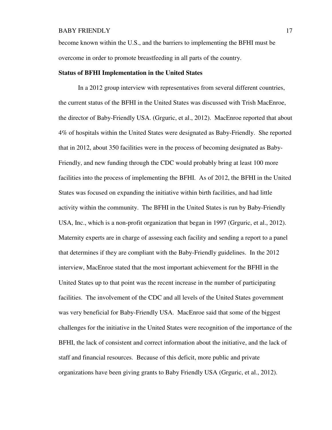become known within the U.S., and the barriers to implementing the BFHI must be overcome in order to promote breastfeeding in all parts of the country.

### **Status of BFHI Implementation in the United States**

In a 2012 group interview with representatives from several different countries, the current status of the BFHI in the United States was discussed with Trish MacEnroe, the director of Baby-Friendly USA. (Grguric, et al., 2012). MacEnroe reported that about 4% of hospitals within the United States were designated as Baby-Friendly. She reported that in 2012, about 350 facilities were in the process of becoming designated as Baby-Friendly, and new funding through the CDC would probably bring at least 100 more facilities into the process of implementing the BFHI. As of 2012, the BFHI in the United States was focused on expanding the initiative within birth facilities, and had little activity within the community. The BFHI in the United States is run by Baby-Friendly USA, Inc., which is a non-profit organization that began in 1997 (Grguric, et al., 2012). Maternity experts are in charge of assessing each facility and sending a report to a panel that determines if they are compliant with the Baby-Friendly guidelines. In the 2012 interview, MacEnroe stated that the most important achievement for the BFHI in the United States up to that point was the recent increase in the number of participating facilities. The involvement of the CDC and all levels of the United States government was very beneficial for Baby-Friendly USA. MacEnroe said that some of the biggest challenges for the initiative in the United States were recognition of the importance of the BFHI, the lack of consistent and correct information about the initiative, and the lack of staff and financial resources. Because of this deficit, more public and private organizations have been giving grants to Baby Friendly USA (Grguric, et al., 2012).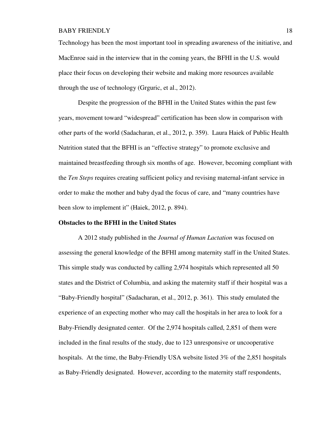Technology has been the most important tool in spreading awareness of the initiative, and MacEnroe said in the interview that in the coming years, the BFHI in the U.S. would place their focus on developing their website and making more resources available through the use of technology (Grguric, et al., 2012).

Despite the progression of the BFHI in the United States within the past few years, movement toward "widespread" certification has been slow in comparison with other parts of the world (Sadacharan, et al., 2012, p. 359). Laura Haiek of Public Health Nutrition stated that the BFHI is an "effective strategy" to promote exclusive and maintained breastfeeding through six months of age. However, becoming compliant with the *Ten Steps* requires creating sufficient policy and revising maternal-infant service in order to make the mother and baby dyad the focus of care, and "many countries have been slow to implement it" (Haiek, 2012, p. 894).

### **Obstacles to the BFHI in the United States**

A 2012 study published in the *Journal of Human Lactation* was focused on assessing the general knowledge of the BFHI among maternity staff in the United States. This simple study was conducted by calling 2,974 hospitals which represented all 50 states and the District of Columbia, and asking the maternity staff if their hospital was a "Baby-Friendly hospital" (Sadacharan, et al., 2012, p. 361). This study emulated the experience of an expecting mother who may call the hospitals in her area to look for a Baby-Friendly designated center. Of the 2,974 hospitals called, 2,851 of them were included in the final results of the study, due to 123 unresponsive or uncooperative hospitals. At the time, the Baby-Friendly USA website listed 3% of the 2,851 hospitals as Baby-Friendly designated. However, according to the maternity staff respondents,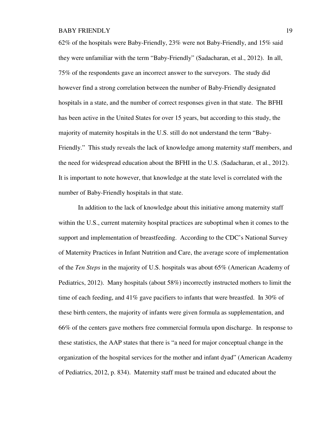62% of the hospitals were Baby-Friendly, 23% were not Baby-Friendly, and 15% said they were unfamiliar with the term "Baby-Friendly" (Sadacharan, et al., 2012). In all, 75% of the respondents gave an incorrect answer to the surveyors. The study did however find a strong correlation between the number of Baby-Friendly designated hospitals in a state, and the number of correct responses given in that state. The BFHI has been active in the United States for over 15 years, but according to this study, the majority of maternity hospitals in the U.S. still do not understand the term "Baby-Friendly." This study reveals the lack of knowledge among maternity staff members, and the need for widespread education about the BFHI in the U.S. (Sadacharan, et al., 2012). It is important to note however, that knowledge at the state level is correlated with the number of Baby-Friendly hospitals in that state.

In addition to the lack of knowledge about this initiative among maternity staff within the U.S., current maternity hospital practices are suboptimal when it comes to the support and implementation of breastfeeding. According to the CDC's National Survey of Maternity Practices in Infant Nutrition and Care, the average score of implementation of the *Ten Steps* in the majority of U.S. hospitals was about 65% (American Academy of Pediatrics, 2012). Many hospitals (about 58%) incorrectly instructed mothers to limit the time of each feeding, and  $41\%$  gave pacifiers to infants that were breastfed. In 30% of these birth centers, the majority of infants were given formula as supplementation, and 66% of the centers gave mothers free commercial formula upon discharge. In response to these statistics, the AAP states that there is "a need for major conceptual change in the organization of the hospital services for the mother and infant dyad" (American Academy of Pediatrics, 2012, p. 834). Maternity staff must be trained and educated about the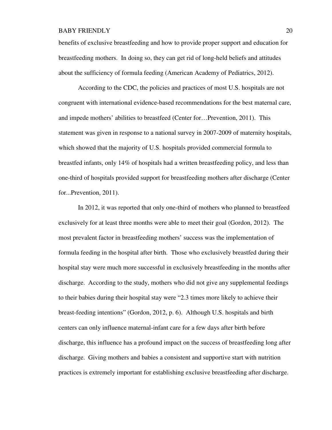benefits of exclusive breastfeeding and how to provide proper support and education for breastfeeding mothers. In doing so, they can get rid of long-held beliefs and attitudes about the sufficiency of formula feeding (American Academy of Pediatrics, 2012).

According to the CDC, the policies and practices of most U.S. hospitals are not congruent with international evidence-based recommendations for the best maternal care, and impede mothers' abilities to breastfeed (Center for…Prevention, 2011). This statement was given in response to a national survey in 2007-2009 of maternity hospitals, which showed that the majority of U.S. hospitals provided commercial formula to breastfed infants, only 14% of hospitals had a written breastfeeding policy, and less than one-third of hospitals provided support for breastfeeding mothers after discharge (Center for...Prevention, 2011).

In 2012, it was reported that only one-third of mothers who planned to breastfeed exclusively for at least three months were able to meet their goal (Gordon, 2012). The most prevalent factor in breastfeeding mothers' success was the implementation of formula feeding in the hospital after birth. Those who exclusively breastfed during their hospital stay were much more successful in exclusively breastfeeding in the months after discharge. According to the study, mothers who did not give any supplemental feedings to their babies during their hospital stay were "2.3 times more likely to achieve their breast-feeding intentions" (Gordon, 2012, p. 6). Although U.S. hospitals and birth centers can only influence maternal-infant care for a few days after birth before discharge, this influence has a profound impact on the success of breastfeeding long after discharge. Giving mothers and babies a consistent and supportive start with nutrition practices is extremely important for establishing exclusive breastfeeding after discharge.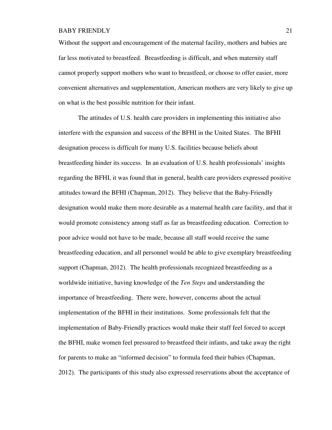Without the support and encouragement of the maternal facility, mothers and babies are far less motivated to breastfeed. Breastfeeding is difficult, and when maternity staff cannot properly support mothers who want to breastfeed, or choose to offer easier, more convenient alternatives and supplementation, American mothers are very likely to give up on what is the best possible nutrition for their infant.

The attitudes of U.S. health care providers in implementing this initiative also interfere with the expansion and success of the BFHI in the United States. The BFHI designation process is difficult for many U.S. facilities because beliefs about breastfeeding hinder its success. In an evaluation of U.S. health professionals' insights regarding the BFHI, it was found that in general, health care providers expressed positive attitudes toward the BFHI (Chapman, 2012). They believe that the Baby-Friendly designation would make them more desirable as a maternal health care facility, and that it would promote consistency among staff as far as breastfeeding education. Correction to poor advice would not have to be made, because all staff would receive the same breastfeeding education, and all personnel would be able to give exemplary breastfeeding support (Chapman, 2012). The health professionals recognized breastfeeding as a worldwide initiative, having knowledge of the *Ten Steps* and understanding the importance of breastfeeding. There were, however, concerns about the actual implementation of the BFHI in their institutions. Some professionals felt that the implementation of Baby-Friendly practices would make their staff feel forced to accept the BFHI, make women feel pressured to breastfeed their infants, and take away the right for parents to make an "informed decision" to formula feed their babies (Chapman, 2012). The participants of this study also expressed reservations about the acceptance of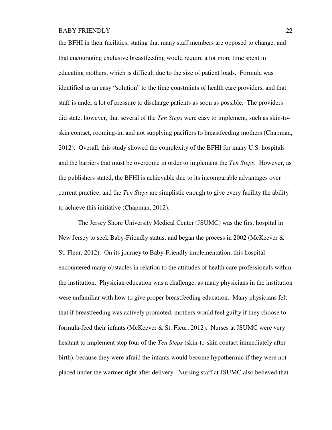the BFHI in their facilities, stating that many staff members are opposed to change, and that encouraging exclusive breastfeeding would require a lot more time spent in educating mothers, which is difficult due to the size of patient loads. Formula was identified as an easy "solution" to the time constraints of health care providers, and that staff is under a lot of pressure to discharge patients as soon as possible. The providers did state, however, that several of the *Ten Steps* were easy to implement, such as skin-toskin contact, rooming-in, and not supplying pacifiers to breastfeeding mothers (Chapman, 2012). Overall, this study showed the complexity of the BFHI for many U.S. hospitals and the barriers that must be overcome in order to implement the *Ten Steps*. However, as the publishers stated, the BFHI is achievable due to its incomparable advantages over current practice, and the *Ten Steps* are simplistic enough to give every facility the ability to achieve this initiative (Chapman, 2012).

The Jersey Shore University Medical Center (JSUMC) was the first hospital in New Jersey to seek Baby-Friendly status, and began the process in 2002 (McKeever & St. Fleur, 2012). On its journey to Baby-Friendly implementation, this hospital encountered many obstacles in relation to the attitudes of health care professionals within the institution. Physician education was a challenge, as many physicians in the institution were unfamiliar with how to give proper breastfeeding education. Many physicians felt that if breastfeeding was actively promoted, mothers would feel guilty if they choose to formula-feed their infants (McKeever & St. Fleur, 2012). Nurses at JSUMC were very hesitant to implement step four of the *Ten Steps* (skin-to-skin contact immediately after birth), because they were afraid the infants would become hypothermic if they were not placed under the warmer right after delivery. Nursing staff at JSUMC also believed that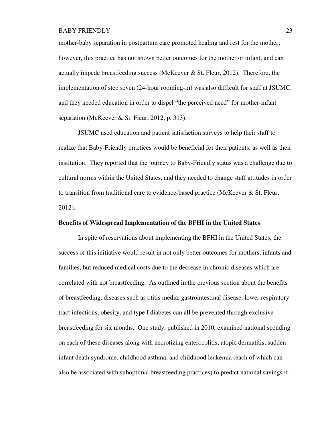mother-baby separation in postpartum care promoted healing and rest for the mother; however, this practice has not shown better outcomes for the mother or infant, and can actually impede breastfeeding success (McKeever & St. Fleur, 2012). Therefore, the implementation of step seven (24-hour rooming-in) was also difficult for staff at JSUMC, and they needed education in order to dispel "the perceived need" for mother-infant separation (McKeever & St. Fleur, 2012, p. 313).

JSUMC used education and patient satisfaction surveys to help their staff to realize that Baby-Friendly practices would be beneficial for their patients, as well as their institution. They reported that the journey to Baby-Friendly status was a challenge due to cultural norms within the United States, and they needed to change staff attitudes in order to transition from traditional care to evidence-based practice (McKeever & St. Fleur, 2012).

### **Benefits of Widespread Implementation of the BFHI in the United States**

In spite of reservations about implementing the BFHI in the United States, the success of this initiative would result in not only better outcomes for mothers, infants and families, but reduced medical costs due to the decrease in chronic diseases which are correlated with not breastfeeding. As outlined in the previous section about the benefits of breastfeeding, diseases such as otitis media, gastrointestinal disease, lower respiratory tract infections, obesity, and type I diabetes can all be prevented through exclusive breastfeeding for six months. One study, published in 2010, examined national spending on each of these diseases along with necrotizing enterocolitis, atopic dermatitis, sudden infant death syndrome, childhood asthma, and childhood leukemia (each of which can also be associated with suboptimal breastfeeding practices) to predict national savings if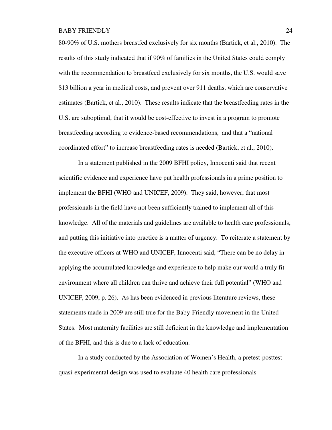80-90% of U.S. mothers breastfed exclusively for six months (Bartick, et al., 2010). The results of this study indicated that if 90% of families in the United States could comply with the recommendation to breastfeed exclusively for six months, the U.S. would save \$13 billion a year in medical costs, and prevent over 911 deaths, which are conservative estimates (Bartick, et al., 2010). These results indicate that the breastfeeding rates in the U.S. are suboptimal, that it would be cost-effective to invest in a program to promote breastfeeding according to evidence-based recommendations, and that a "national coordinated effort" to increase breastfeeding rates is needed (Bartick, et al., 2010).

In a statement published in the 2009 BFHI policy, Innocenti said that recent scientific evidence and experience have put health professionals in a prime position to implement the BFHI (WHO and UNICEF, 2009). They said, however, that most professionals in the field have not been sufficiently trained to implement all of this knowledge. All of the materials and guidelines are available to health care professionals, and putting this initiative into practice is a matter of urgency. To reiterate a statement by the executive officers at WHO and UNICEF, Innocenti said, "There can be no delay in applying the accumulated knowledge and experience to help make our world a truly fit environment where all children can thrive and achieve their full potential" (WHO and UNICEF, 2009, p. 26). As has been evidenced in previous literature reviews, these statements made in 2009 are still true for the Baby-Friendly movement in the United States. Most maternity facilities are still deficient in the knowledge and implementation of the BFHI, and this is due to a lack of education.

In a study conducted by the Association of Women's Health, a pretest-posttest quasi-experimental design was used to evaluate 40 health care professionals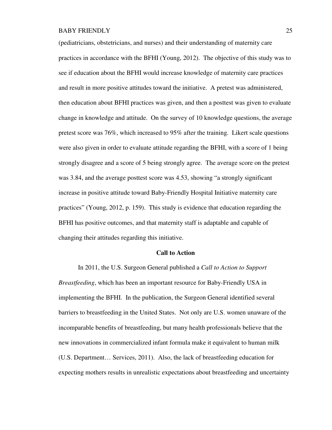(pediatricians, obstetricians, and nurses) and their understanding of maternity care practices in accordance with the BFHI (Young, 2012). The objective of this study was to see if education about the BFHI would increase knowledge of maternity care practices and result in more positive attitudes toward the initiative. A pretest was administered, then education about BFHI practices was given, and then a posttest was given to evaluate change in knowledge and attitude. On the survey of 10 knowledge questions, the average pretest score was 76%, which increased to 95% after the training. Likert scale questions were also given in order to evaluate attitude regarding the BFHI, with a score of 1 being strongly disagree and a score of 5 being strongly agree. The average score on the pretest was 3.84, and the average posttest score was 4.53, showing "a strongly significant increase in positive attitude toward Baby-Friendly Hospital Initiative maternity care practices" (Young, 2012, p. 159). This study is evidence that education regarding the BFHI has positive outcomes, and that maternity staff is adaptable and capable of changing their attitudes regarding this initiative.

#### **Call to Action**

In 2011, the U.S. Surgeon General published a *Call to Action to Support Breastfeeding*, which has been an important resource for Baby-Friendly USA in implementing the BFHI. In the publication, the Surgeon General identified several barriers to breastfeeding in the United States. Not only are U.S. women unaware of the incomparable benefits of breastfeeding, but many health professionals believe that the new innovations in commercialized infant formula make it equivalent to human milk (U.S. Department… Services, 2011). Also, the lack of breastfeeding education for expecting mothers results in unrealistic expectations about breastfeeding and uncertainty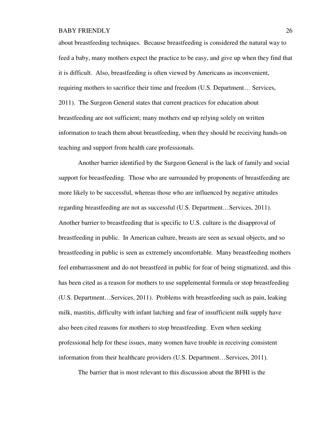about breastfeeding techniques. Because breastfeeding is considered the natural way to feed a baby, many mothers expect the practice to be easy, and give up when they find that it is difficult. Also, breastfeeding is often viewed by Americans as inconvenient, requiring mothers to sacrifice their time and freedom (U.S. Department… Services, 2011). The Surgeon General states that current practices for education about breastfeeding are not sufficient; many mothers end up relying solely on written information to teach them about breastfeeding, when they should be receiving hands-on teaching and support from health care professionals.

Another barrier identified by the Surgeon General is the lack of family and social support for breastfeeding. Those who are surrounded by proponents of breastfeeding are more likely to be successful, whereas those who are influenced by negative attitudes regarding breastfeeding are not as successful (U.S. Department…Services, 2011). Another barrier to breastfeeding that is specific to U.S. culture is the disapproval of breastfeeding in public. In American culture, breasts are seen as sexual objects, and so breastfeeding in public is seen as extremely uncomfortable. Many breastfeeding mothers feel embarrassment and do not breastfeed in public for fear of being stigmatized, and this has been cited as a reason for mothers to use supplemental formula or stop breastfeeding (U.S. Department…Services, 2011). Problems with breastfeeding such as pain, leaking milk, mastitis, difficulty with infant latching and fear of insufficient milk supply have also been cited reasons for mothers to stop breastfeeding. Even when seeking professional help for these issues, many women have trouble in receiving consistent information from their healthcare providers (U.S. Department…Services, 2011).

The barrier that is most relevant to this discussion about the BFHI is the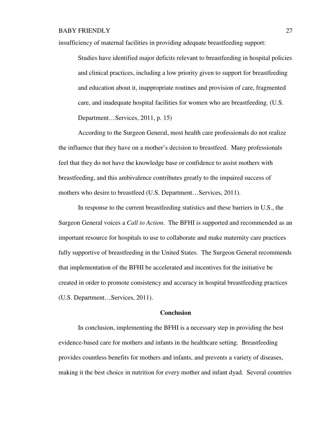insufficiency of maternal facilities in providing adequate breastfeeding support:

Studies have identified major deficits relevant to breastfeeding in hospital policies and clinical practices, including a low priority given to support for breastfeeding and education about it, inappropriate routines and provision of care, fragmented care, and inadequate hospital facilities for women who are breastfeeding. (U.S. Department…Services, 2011, p. 15)

According to the Surgeon General, most health care professionals do not realize the influence that they have on a mother's decision to breastfeed. Many professionals feel that they do not have the knowledge base or confidence to assist mothers with breastfeeding, and this ambivalence contributes greatly to the impaired success of mothers who desire to breastfeed (U.S. Department…Services, 2011).

In response to the current breastfeeding statistics and these barriers in U.S., the Surgeon General voices a *Call to Action*. The BFHI is supported and recommended as an important resource for hospitals to use to collaborate and make maternity care practices fully supportive of breastfeeding in the United States. The Surgeon General recommends that implementation of the BFHI be accelerated and incentives for the initiative be created in order to promote consistency and accuracy in hospital breastfeeding practices (U.S. Department…Services, 2011).

### **Conclusion**

In conclusion, implementing the BFHI is a necessary step in providing the best evidence-based care for mothers and infants in the healthcare setting. Breastfeeding provides countless benefits for mothers and infants, and prevents a variety of diseases, making it the best choice in nutrition for every mother and infant dyad. Several countries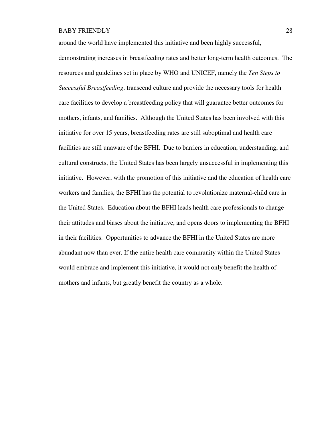around the world have implemented this initiative and been highly successful,

demonstrating increases in breastfeeding rates and better long-term health outcomes. The resources and guidelines set in place by WHO and UNICEF, namely the *Ten Steps to Successful Breastfeeding*, transcend culture and provide the necessary tools for health care facilities to develop a breastfeeding policy that will guarantee better outcomes for mothers, infants, and families. Although the United States has been involved with this initiative for over 15 years, breastfeeding rates are still suboptimal and health care facilities are still unaware of the BFHI. Due to barriers in education, understanding, and cultural constructs, the United States has been largely unsuccessful in implementing this initiative. However, with the promotion of this initiative and the education of health care workers and families, the BFHI has the potential to revolutionize maternal-child care in the United States. Education about the BFHI leads health care professionals to change their attitudes and biases about the initiative, and opens doors to implementing the BFHI in their facilities. Opportunities to advance the BFHI in the United States are more abundant now than ever. If the entire health care community within the United States would embrace and implement this initiative, it would not only benefit the health of mothers and infants, but greatly benefit the country as a whole.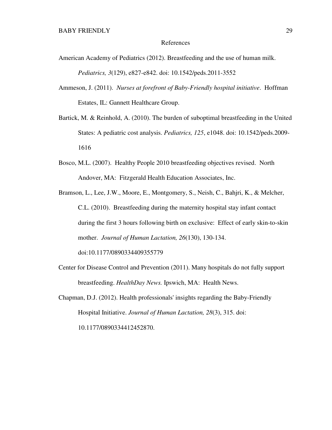#### References

- American Academy of Pediatrics (2012). Breastfeeding and the use of human milk. *Pediatrics, 3*(129), e827-e842. doi: 10.1542/peds.2011-3552
- Ammeson, J. (2011). *Nurses at forefront of Baby-Friendly hospital initiative*. Hoffman Estates, IL: Gannett Healthcare Group.
- Bartick, M. & Reinhold, A. (2010). The burden of suboptimal breastfeeding in the United States: A pediatric cost analysis. *Pediatrics, 125*, e1048. doi: 10.1542/peds.2009- 1616
- Bosco, M.L. (2007). Healthy People 2010 breastfeeding objectives revised. North Andover, MA: Fitzgerald Health Education Associates, Inc.
- Bramson, L., Lee, J.W., Moore, E., Montgomery, S., Neish, C., Bahjri, K., & Melcher, C.L. (2010). Breastfeeding during the maternity hospital stay infant contact during the first 3 hours following birth on exclusive: Effect of early skin-to-skin mother. *Journal of Human Lactation, 26*(130), 130-134. doi:10.1177/0890334409355779
- Center for Disease Control and Prevention (2011). Many hospitals do not fully support breastfeeding. *HealthDay News.* Ipswich, MA: Health News.
- Chapman, D.J. (2012). Health professionals' insights regarding the Baby-Friendly Hospital Initiative. *Journal of Human Lactation, 28*(3), 315. doi: 10.1177/0890334412452870.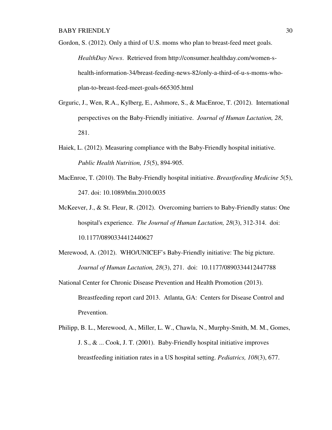Gordon, S. (2012). Only a third of U.S. moms who plan to breast-feed meet goals. *HealthDay News*. Retrieved from http://consumer.healthday.com/women-shealth-information-34/breast-feeding-news-82/only-a-third-of-u-s-moms-whoplan-to-breast-feed-meet-goals-665305.html

- Grguric, J., Wen, R.A., Kylberg, E., Ashmore, S., & MacEnroe, T. (2012). International perspectives on the Baby-Friendly initiative. *Journal of Human Lactation, 28*, 281.
- Haiek, L. (2012). Measuring compliance with the Baby-Friendly hospital initiative. *Public Health Nutrition, 15*(5), 894-905.
- MacEnroe, T. (2010). The Baby-Friendly hospital initiative. *Breastfeeding Medicine 5*(5), 247. doi: 10.1089/bfm.2010.0035
- McKeever, J., & St. Fleur, R. (2012). Overcoming barriers to Baby-Friendly status: One hospital's experience. *The Journal of Human Lactation, 28*(3), 312-314. doi: 10.1177/0890334412440627
- Merewood, A. (2012). WHO/UNICEF's Baby-Friendly initiative: The big picture. *Journal of Human Lactation, 28*(3), 271. doi: 10.1177/0890334412447788
- National Center for Chronic Disease Prevention and Health Promotion (2013). Breastfeeding report card 2013. Atlanta, GA: Centers for Disease Control and Prevention.
- Philipp, B. L., Merewood, A., Miller, L. W., Chawla, N., Murphy-Smith, M. M., Gomes, J. S., & ... Cook, J. T. (2001). Baby-Friendly hospital initiative improves breastfeeding initiation rates in a US hospital setting. *Pediatrics, 108*(3), 677.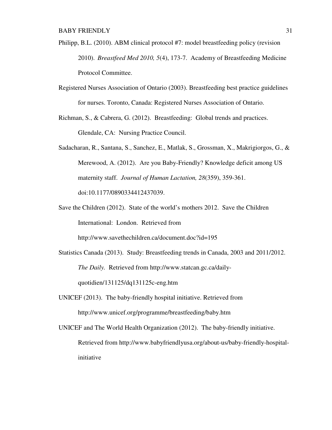- Philipp, B.L. (2010). ABM clinical protocol #7: model breastfeeding policy (revision 2010). *Breastfeed Med 2010, 5*(4), 173-7. Academy of Breastfeeding Medicine Protocol Committee.
- Registered Nurses Association of Ontario (2003). Breastfeeding best practice guidelines for nurses. Toronto, Canada: Registered Nurses Association of Ontario.

Richman, S., & Cabrera, G. (2012). Breastfeeding: Global trends and practices. Glendale, CA: Nursing Practice Council.

- Sadacharan, R., Santana, S., Sanchez, E., Matlak, S., Grossman, X., Makrigiorgos, G., & Merewood, A. (2012). Are you Baby-Friendly? Knowledge deficit among US maternity staff. *Journal of Human Lactation, 28*(359), 359-361. doi:10.1177/0890334412437039.
- Save the Children (2012). State of the world's mothers 2012. Save the Children International: London. Retrieved from

http://www.savethechildren.ca/document.doc?id=195

- Statistics Canada (2013). Study: Breastfeeding trends in Canada, 2003 and 2011/2012. *The Daily.* Retrieved from http://www.statcan.gc.ca/dailyquotidien/131125/dq131125c-eng.htm
- UNICEF (2013). The baby-friendly hospital initiative. Retrieved from http://www.unicef.org/programme/breastfeeding/baby.htm
- UNICEF and The World Health Organization (2012). The baby-friendly initiative. Retrieved from http://www.babyfriendlyusa.org/about-us/baby-friendly-hospitalinitiative